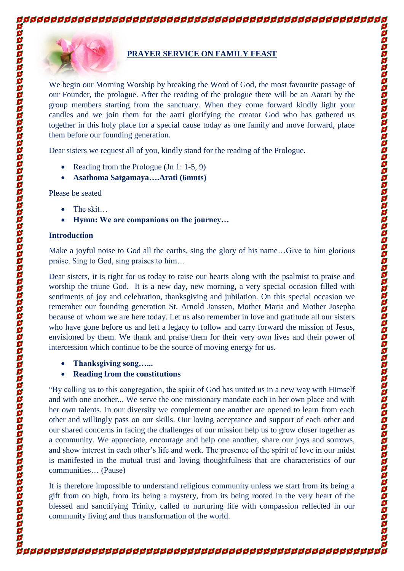

## **PRAYER SERVICE ON FAMILY FEAST**

We begin our Morning Worship by breaking the Word of God, the most favourite passage of our Founder, the prologue. After the reading of the prologue there will be an Aarati by the group members starting from the sanctuary. When they come forward kindly light your candles and we join them for the aarti glorifying the creator God who has gathered us together in this holy place for a special cause today as one family and move forward, place them before our founding generation.

Dear sisters we request all of you, kindly stand for the reading of the Prologue.

- Reading from the Prologue (Jn 1: 1-5, 9)
- **Asathoma Satgamaya….Arati (6mnts)**

Please be seated

- The skit...
- **Hymn: We are companions on the journey…**

### **Introduction**

Make a joyful noise to God all the earths, sing the glory of his name…Give to him glorious praise. Sing to God, sing praises to him…

Dear sisters, it is right for us today to raise our hearts along with the psalmist to praise and worship the triune God. It is a new day, new morning, a very special occasion filled with sentiments of joy and celebration, thanksgiving and jubilation. On this special occasion we remember our founding generation St. Arnold Janssen, Mother Maria and Mother Josepha because of whom we are here today. Let us also remember in love and gratitude all our sisters who have gone before us and left a legacy to follow and carry forward the mission of Jesus, envisioned by them. We thank and praise them for their very own lives and their power of intercession which continue to be the source of moving energy for us.

**Thanksgiving song…...**

# **Reading from the constitutions**

"By calling us to this congregation, the spirit of God has united us in a new way with Himself and with one another... We serve the one missionary mandate each in her own place and with her own talents. In our diversity we complement one another are opened to learn from each other and willingly pass on our skills. Our loving acceptance and support of each other and our shared concerns in facing the challenges of our mission help us to grow closer together as a community. We appreciate, encourage and help one another, share our joys and sorrows, and show interest in each other's life and work. The presence of the spirit of love in our midst is manifested in the mutual trust and loving thoughtfulness that are characteristics of our communities… (Pause)

It is therefore impossible to understand religious community unless we start from its being a gift from on high, from its being a mystery, from its being rooted in the very heart of the blessed and sanctifying Trinity, called to nurturing life with compassion reflected in our community living and thus transformation of the world.